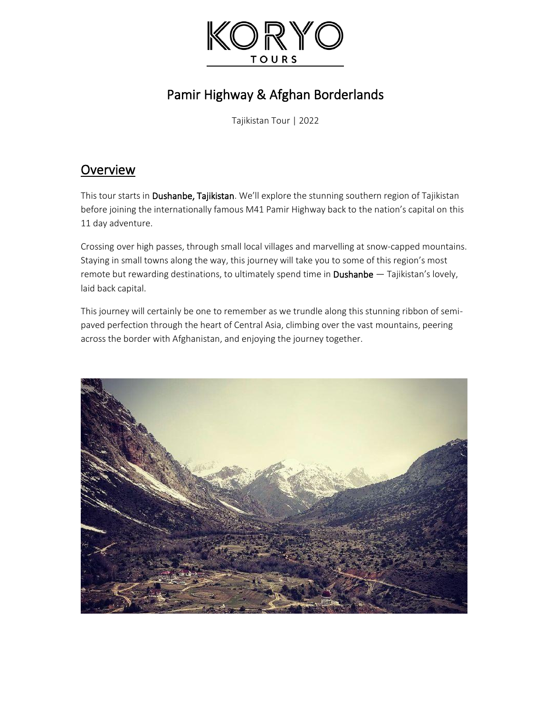

# Pamir Highway & Afghan Borderlands

Tajikistan Tour | 2022

## **Overview**

This tour starts in Dushanbe, Tajikistan. We'll explore the stunning southern region of Tajikistan before joining the internationally famous M41 Pamir Highway back to the nation's capital on this 11 day adventure.

Crossing over high passes, through small local villages and marvelling at snow-capped mountains. Staying in small towns along the way, this journey will take you to some of this region's most remote but rewarding destinations, to ultimately spend time in **Dushanbe** — Tajikistan's lovely, laid back capital.

This journey will certainly be one to remember as we trundle along this stunning ribbon of semipaved perfection through the heart of Central Asia, climbing over the vast mountains, peering across the border with Afghanistan, and enjoying the journey together.

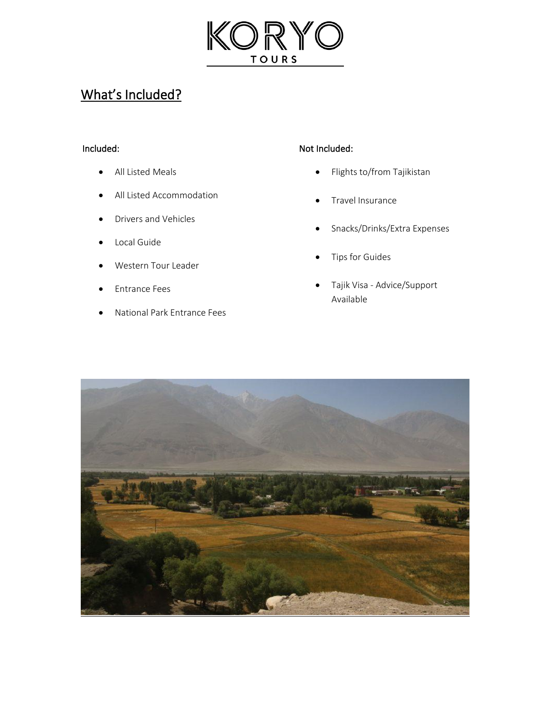

# What's Included?

## Included:

- All Listed Meals
- All Listed Accommodation
- Drivers and Vehicles
- Local Guide
- Western Tour Leader
- Entrance Fees
- National Park Entrance Fees

#### Not Included:

- Flights to/from Tajikistan
- Travel Insurance
- Snacks/Drinks/Extra Expenses
- Tips for Guides
- Tajik Visa Advice/Support Available

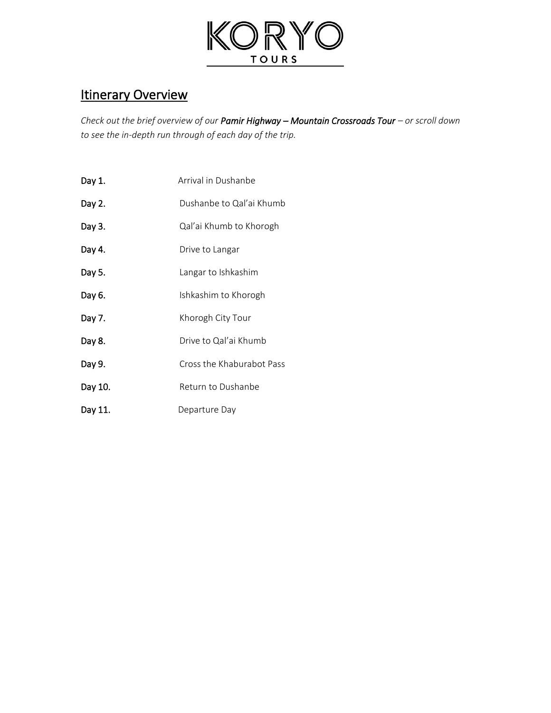

## **Itinerary Overview**

*Check out the brief overview of our Pamir Highway – Mountain Crossroads Tour – or scroll down to see the in-depth run through of each day of the trip.*

- Day 1. Arrival in Dushanbe
- Day 2. Dushanbe to Qal'ai Khumb
- Day 3. Cal'ai Khumb to Khorogh
- Day 4. Drive to Langar
- Day 5. **Day 5.** Langar to Ishkashim
- Day 6. **Ishkashim to Khorogh**
- Day 7. Khorogh City Tour
- Day 8. Drive to Qal'ai Khumb
- Day 9. Cross the Khaburabot Pass
- Day 10. Return to Dushanbe
- Day 11. Departure Day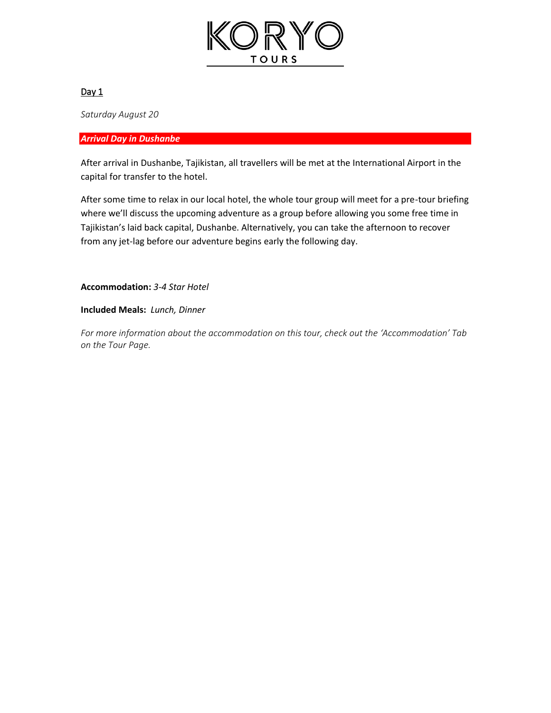

*Saturday August 20*

#### *Arrival Day in Dushanbe*

After arrival in Dushanbe, Tajikistan, all travellers will be met at the International Airport in the capital for transfer to the hotel.

After some time to relax in our local hotel, the whole tour group will meet for a pre-tour briefing where we'll discuss the upcoming adventure as a group before allowing you some free time in Tajikistan's laid back capital, Dushanbe. Alternatively, you can take the afternoon to recover from any jet-lag before our adventure begins early the following day.

**Accommodation:** *3-4 Star Hotel*

**Included Meals:** *Lunch, Dinner*

*For more information about the accommodation on this tour, check out the 'Accommodation' Tab on the Tour Page.*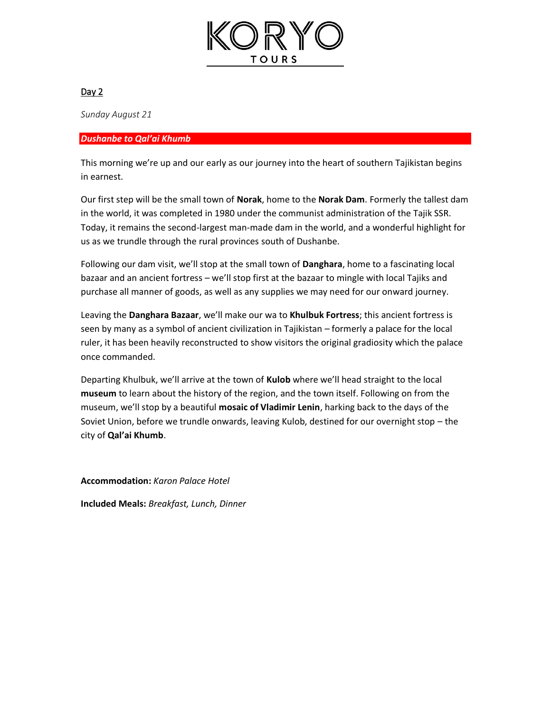

*Sunday August 21*

#### *Dushanbe to Qal'ai Khumb*

This morning we're up and our early as our journey into the heart of southern Tajikistan begins in earnest.

Our first step will be the small town of **Norak**, home to the **Norak Dam**. Formerly the tallest dam in the world, it was completed in 1980 under the communist administration of the Tajik SSR. Today, it remains the second-largest man-made dam in the world, and a wonderful highlight for us as we trundle through the rural provinces south of Dushanbe.

Following our dam visit, we'll stop at the small town of **Danghara**, home to a fascinating local bazaar and an ancient fortress – we'll stop first at the bazaar to mingle with local Tajiks and purchase all manner of goods, as well as any supplies we may need for our onward journey.

Leaving the **Danghara Bazaar**, we'll make our wa to **Khulbuk Fortress**; this ancient fortress is seen by many as a symbol of ancient civilization in Tajikistan – formerly a palace for the local ruler, it has been heavily reconstructed to show visitors the original gradiosity which the palace once commanded.

Departing Khulbuk, we'll arrive at the town of **Kulob** where we'll head straight to the local **museum** to learn about the history of the region, and the town itself. Following on from the museum, we'll stop by a beautiful **mosaic of Vladimir Lenin**, harking back to the days of the Soviet Union, before we trundle onwards, leaving Kulob, destined for our overnight stop – the city of **Qal'ai Khumb**.

**Accommodation:** *Karon Palace Hotel*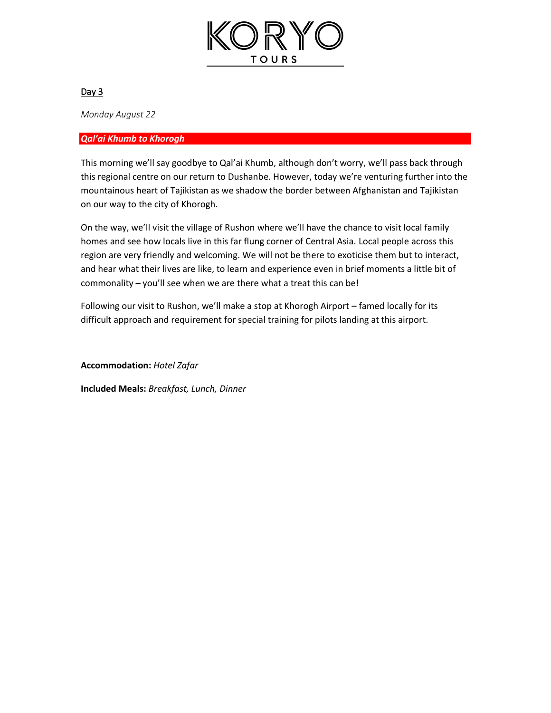

*Monday August 22*

#### *Qal'ai Khumb to Khorogh*

This morning we'll say goodbye to Qal'ai Khumb, although don't worry, we'll pass back through this regional centre on our return to Dushanbe. However, today we're venturing further into the mountainous heart of Tajikistan as we shadow the border between Afghanistan and Tajikistan on our way to the city of Khorogh.

On the way, we'll visit the village of Rushon where we'll have the chance to visit local family homes and see how locals live in this far flung corner of Central Asia. Local people across this region are very friendly and welcoming. We will not be there to exoticise them but to interact, and hear what their lives are like, to learn and experience even in brief moments a little bit of commonality – you'll see when we are there what a treat this can be!

Following our visit to Rushon, we'll make a stop at Khorogh Airport – famed locally for its difficult approach and requirement for special training for pilots landing at this airport.

**Accommodation:** *Hotel Zafar*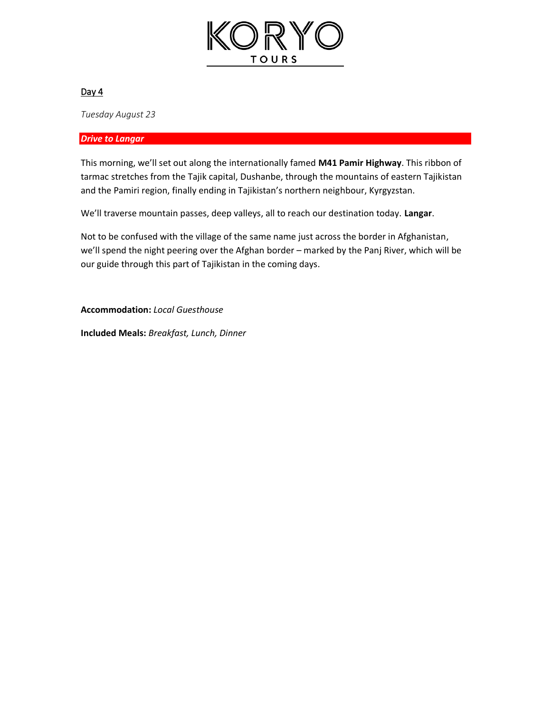

*Tuesday August 23*

#### *Drive to Langar*

This morning, we'll set out along the internationally famed **M41 Pamir Highway**. This ribbon of tarmac stretches from the Tajik capital, Dushanbe, through the mountains of eastern Tajikistan and the Pamiri region, finally ending in Tajikistan's northern neighbour, Kyrgyzstan.

We'll traverse mountain passes, deep valleys, all to reach our destination today. **Langar**.

Not to be confused with the village of the same name just across the border in Afghanistan, we'll spend the night peering over the Afghan border – marked by the Panj River, which will be our guide through this part of Tajikistan in the coming days.

**Accommodation:** *Local Guesthouse*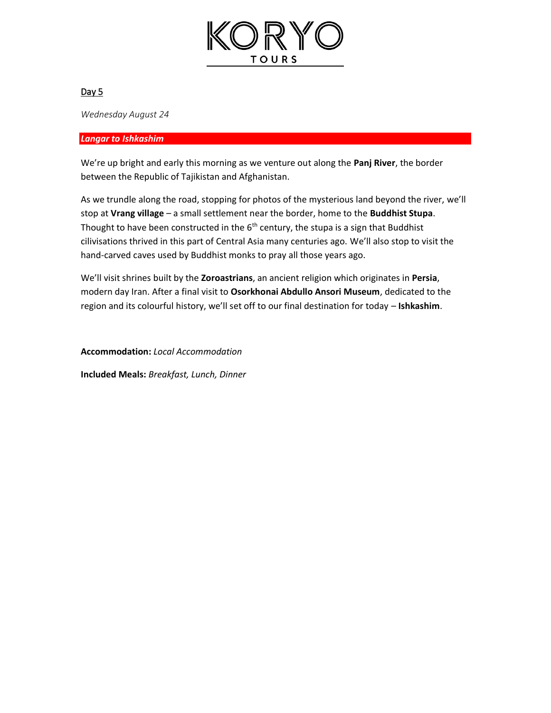

*Wednesday August 24*

#### *Langar to Ishkashim*

We're up bright and early this morning as we venture out along the **Panj River**, the border between the Republic of Tajikistan and Afghanistan.

As we trundle along the road, stopping for photos of the mysterious land beyond the river, we'll stop at **Vrang village** – a small settlement near the border, home to the **Buddhist Stupa**. Thought to have been constructed in the  $6<sup>th</sup>$  century, the stupa is a sign that Buddhist cilivisations thrived in this part of Central Asia many centuries ago. We'll also stop to visit the hand-carved caves used by Buddhist monks to pray all those years ago.

We'll visit shrines built by the **Zoroastrians**, an ancient religion which originates in **Persia**, modern day Iran. After a final visit to **Osorkhonai Abdullo Ansori Museum**, dedicated to the region and its colourful history, we'll set off to our final destination for today – **Ishkashim**.

**Accommodation:** *Local Accommodation*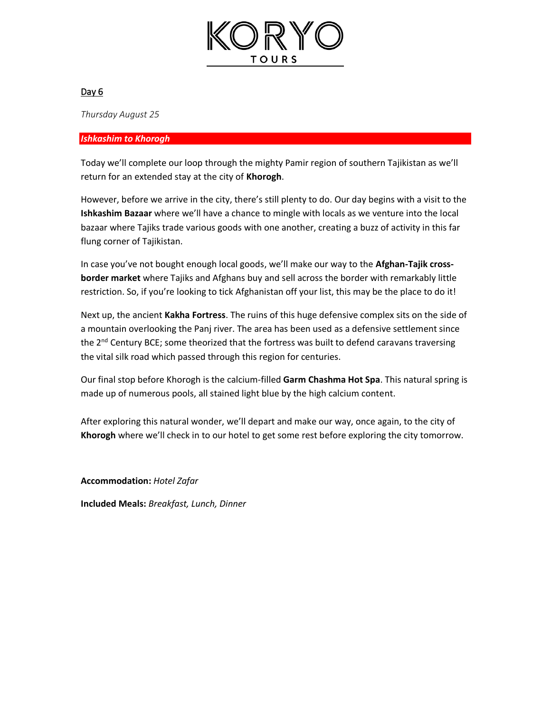

*Thursday August 25*

#### *Ishkashim to Khorogh*

Today we'll complete our loop through the mighty Pamir region of southern Tajikistan as we'll return for an extended stay at the city of **Khorogh**.

However, before we arrive in the city, there's still plenty to do. Our day begins with a visit to the **Ishkashim Bazaar** where we'll have a chance to mingle with locals as we venture into the local bazaar where Tajiks trade various goods with one another, creating a buzz of activity in this far flung corner of Tajikistan.

In case you've not bought enough local goods, we'll make our way to the **Afghan-Tajik crossborder market** where Tajiks and Afghans buy and sell across the border with remarkably little restriction. So, if you're looking to tick Afghanistan off your list, this may be the place to do it!

Next up, the ancient **Kakha Fortress**. The ruins of this huge defensive complex sits on the side of a mountain overlooking the Panj river. The area has been used as a defensive settlement since the  $2^{nd}$  Century BCE; some theorized that the fortress was built to defend caravans traversing the vital silk road which passed through this region for centuries.

Our final stop before Khorogh is the calcium-filled **Garm Chashma Hot Spa**. This natural spring is made up of numerous pools, all stained light blue by the high calcium content.

After exploring this natural wonder, we'll depart and make our way, once again, to the city of **Khorogh** where we'll check in to our hotel to get some rest before exploring the city tomorrow.

**Accommodation:** *Hotel Zafar*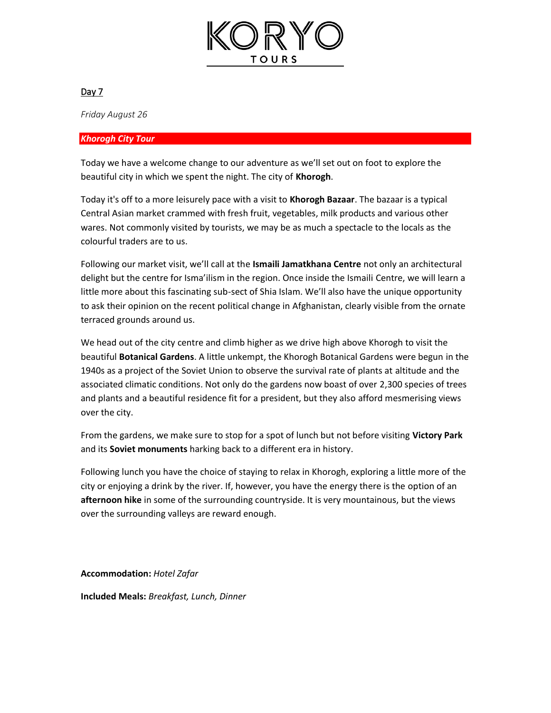

*Friday August 26*

#### *Khorogh City Tour*

Today we have a welcome change to our adventure as we'll set out on foot to explore the beautiful city in which we spent the night. The city of **Khorogh**.

Today it's off to a more leisurely pace with a visit to **Khorogh Bazaar**. The bazaar is a typical Central Asian market crammed with fresh fruit, vegetables, milk products and various other wares. Not commonly visited by tourists, we may be as much a spectacle to the locals as the colourful traders are to us.

Following our market visit, we'll call at the **Ismaili Jamatkhana Centre** not only an architectural delight but the centre for Isma'ilism in the region. Once inside the Ismaili Centre, we will learn a little more about this fascinating sub-sect of Shia Islam. We'll also have the unique opportunity to ask their opinion on the recent political change in Afghanistan, clearly visible from the ornate terraced grounds around us.

We head out of the city centre and climb higher as we drive high above Khorogh to visit the beautiful **Botanical Gardens**. A little unkempt, the Khorogh Botanical Gardens were begun in the 1940s as a project of the Soviet Union to observe the survival rate of plants at altitude and the associated climatic conditions. Not only do the gardens now boast of over 2,300 species of trees and plants and a beautiful residence fit for a president, but they also afford mesmerising views over the city.

From the gardens, we make sure to stop for a spot of lunch but not before visiting **Victory Park** and its **Soviet monuments** harking back to a different era in history.

Following lunch you have the choice of staying to relax in Khorogh, exploring a little more of the city or enjoying a drink by the river. If, however, you have the energy there is the option of an **afternoon hike** in some of the surrounding countryside. It is very mountainous, but the views over the surrounding valleys are reward enough.

**Accommodation:** *Hotel Zafar*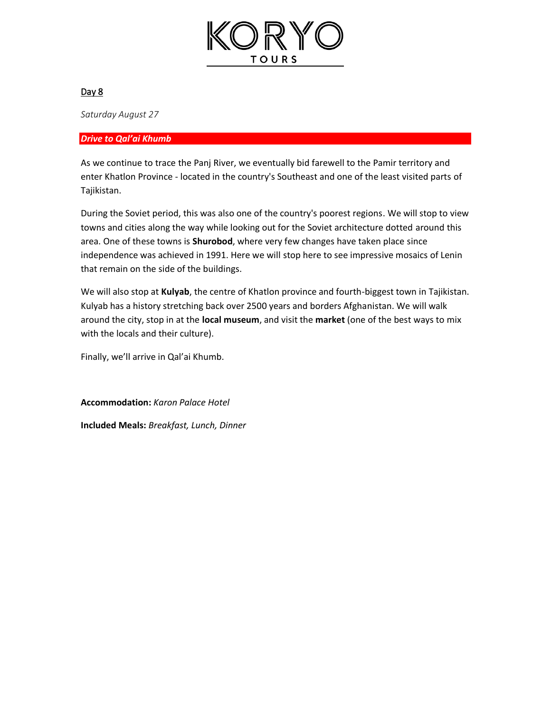

*Saturday August 27*

#### *Drive to Qal'ai Khumb*

As we continue to trace the Panj River, we eventually bid farewell to the Pamir territory and enter Khatlon Province - located in the country's Southeast and one of the least visited parts of Tajikistan.

During the Soviet period, this was also one of the country's poorest regions. We will stop to view towns and cities along the way while looking out for the Soviet architecture dotted around this area. One of these towns is **Shurobod**, where very few changes have taken place since independence was achieved in 1991. Here we will stop here to see impressive mosaics of Lenin that remain on the side of the buildings.

We will also stop at **Kulyab**, the centre of Khatlon province and fourth-biggest town in Tajikistan. Kulyab has a history stretching back over 2500 years and borders Afghanistan. We will walk around the city, stop in at the **local museum**, and visit the **market** (one of the best ways to mix with the locals and their culture).

Finally, we'll arrive in Qal'ai Khumb.

**Accommodation:** *Karon Palace Hotel*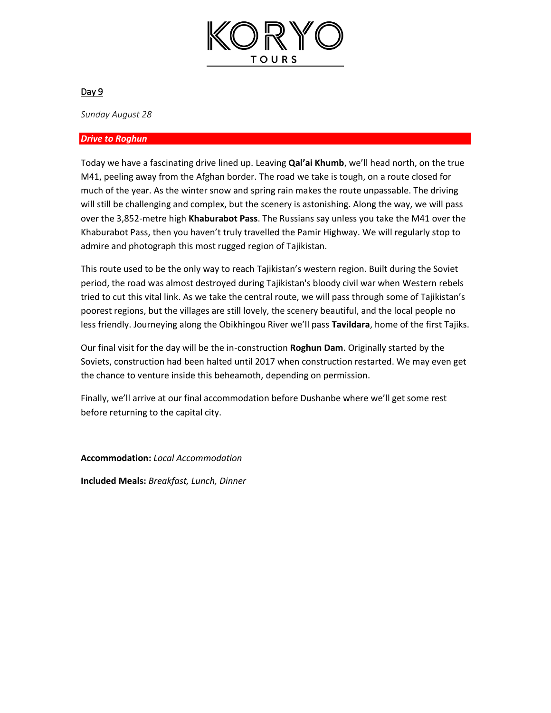

*Sunday August 28*

#### *Drive to Roghun*

Today we have a fascinating drive lined up. Leaving **Qal'ai Khumb**, we'll head north, on the true M41, peeling away from the Afghan border. The road we take is tough, on a route closed for much of the year. As the winter snow and spring rain makes the route unpassable. The driving will still be challenging and complex, but the scenery is astonishing. Along the way, we will pass over the 3,852-metre high **Khaburabot Pass**. The Russians say unless you take the M41 over the Khaburabot Pass, then you haven't truly travelled the Pamir Highway. We will regularly stop to admire and photograph this most rugged region of Tajikistan.

This route used to be the only way to reach Tajikistan's western region. Built during the Soviet period, the road was almost destroyed during Tajikistan's bloody civil war when Western rebels tried to cut this vital link. As we take the central route, we will pass through some of Tajikistan's poorest regions, but the villages are still lovely, the scenery beautiful, and the local people no less friendly. Journeying along the Obikhingou River we'll pass **Tavildara**, home of the first Tajiks.

Our final visit for the day will be the in-construction **Roghun Dam**. Originally started by the Soviets, construction had been halted until 2017 when construction restarted. We may even get the chance to venture inside this beheamoth, depending on permission.

Finally, we'll arrive at our final accommodation before Dushanbe where we'll get some rest before returning to the capital city.

**Accommodation:** *Local Accommodation*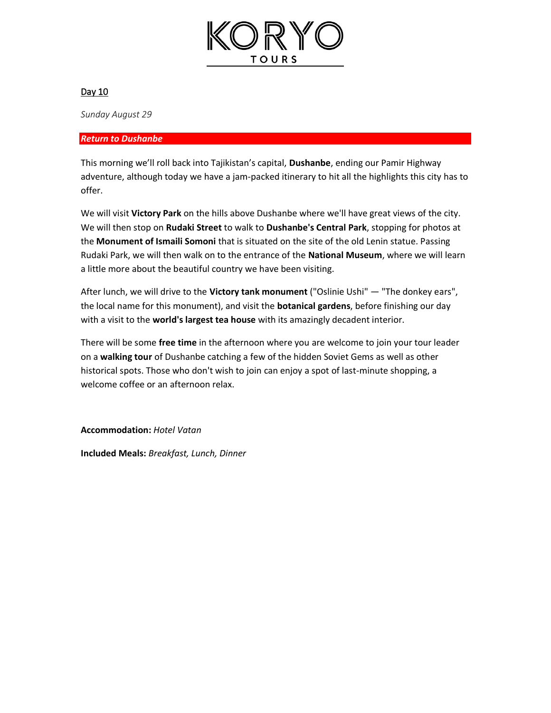

*Sunday August 29*

#### *Return to Dushanbe*

This morning we'll roll back into Tajikistan's capital, **Dushanbe**, ending our Pamir Highway adventure, although today we have a jam-packed itinerary to hit all the highlights this city has to offer.

We will visit **Victory Park** on the hills above Dushanbe where we'll have great views of the city. We will then stop on **Rudaki Street** to walk to **Dushanbe's Central Park**, stopping for photos at the **Monument of Ismaili Somoni** that is situated on the site of the old Lenin statue. Passing Rudaki Park, we will then walk on to the entrance of the **National Museum**, where we will learn a little more about the beautiful country we have been visiting.

After lunch, we will drive to the **Victory tank monument** ("Oslinie Ushi" — "The donkey ears", the local name for this monument), and visit the **botanical gardens**, before finishing our day with a visit to the **world's largest tea house** with its amazingly decadent interior.

There will be some **free time** in the afternoon where you are welcome to join your tour leader on a **walking tour** of Dushanbe catching a few of the hidden Soviet Gems as well as other historical spots. Those who don't wish to join can enjoy a spot of last-minute shopping, a welcome coffee or an afternoon relax.

**Accommodation:** *Hotel Vatan*